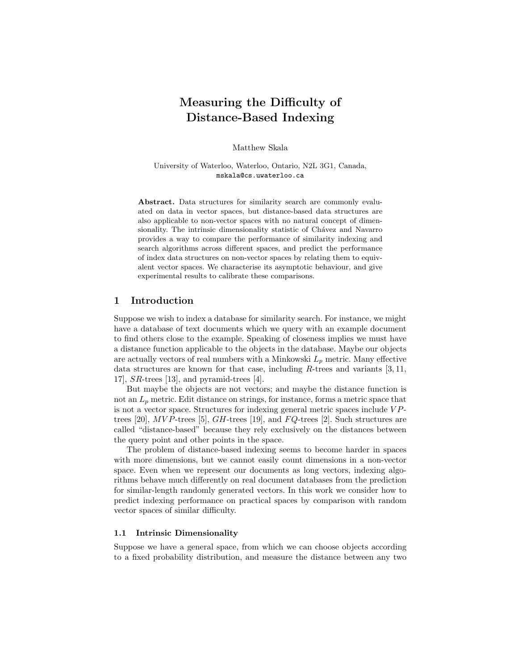# Measuring the Difficulty of Distance-Based Indexing

Matthew Skala

University of Waterloo, Waterloo, Ontario, N2L 3G1, Canada, mskala@cs.uwaterloo.ca

Abstract. Data structures for similarity search are commonly evaluated on data in vector spaces, but distance-based data structures are also applicable to non-vector spaces with no natural concept of dimensionality. The intrinsic dimensionality statistic of Chávez and Navarro provides a way to compare the performance of similarity indexing and search algorithms across different spaces, and predict the performance of index data structures on non-vector spaces by relating them to equivalent vector spaces. We characterise its asymptotic behaviour, and give experimental results to calibrate these comparisons.

# 1 Introduction

Suppose we wish to index a database for similarity search. For instance, we might have a database of text documents which we query with an example document to find others close to the example. Speaking of closeness implies we must have a distance function applicable to the objects in the database. Maybe our objects are actually vectors of real numbers with a Minkowski  $L_p$  metric. Many effective data structures are known for that case, including  $R$ -trees and variants [3, 11, 17], SR-trees [13], and pyramid-trees [4].

But maybe the objects are not vectors; and maybe the distance function is not an  $L_p$  metric. Edit distance on strings, for instance, forms a metric space that is not a vector space. Structures for indexing general metric spaces include  $VP$ trees [20],  $MVP$ -trees [5],  $GH$ -trees [19], and  $FQ$ -trees [2]. Such structures are called "distance-based" because they rely exclusively on the distances between the query point and other points in the space.

The problem of distance-based indexing seems to become harder in spaces with more dimensions, but we cannot easily count dimensions in a non-vector space. Even when we represent our documents as long vectors, indexing algorithms behave much differently on real document databases from the prediction for similar-length randomly generated vectors. In this work we consider how to predict indexing performance on practical spaces by comparison with random vector spaces of similar difficulty.

## 1.1 Intrinsic Dimensionality

Suppose we have a general space, from which we can choose objects according to a fixed probability distribution, and measure the distance between any two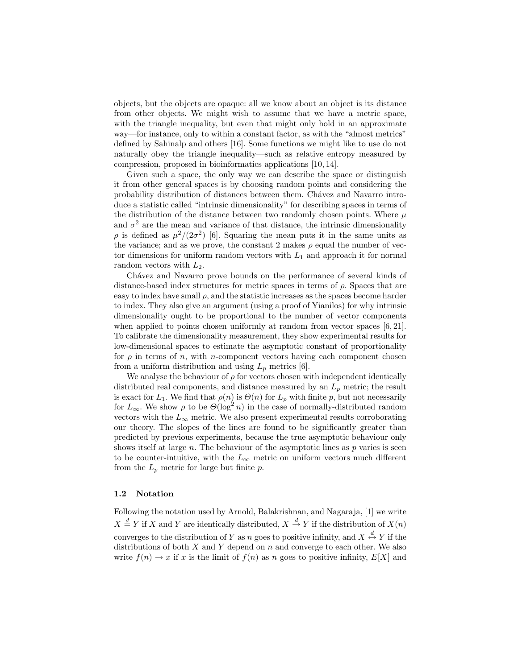objects, but the objects are opaque: all we know about an object is its distance from other objects. We might wish to assume that we have a metric space, with the triangle inequality, but even that might only hold in an approximate way—for instance, only to within a constant factor, as with the "almost metrics" defined by Sahinalp and others [16]. Some functions we might like to use do not naturally obey the triangle inequality—such as relative entropy measured by compression, proposed in bioinformatics applications [10, 14].

Given such a space, the only way we can describe the space or distinguish it from other general spaces is by choosing random points and considering the probability distribution of distances between them. Chávez and Navarro introduce a statistic called "intrinsic dimensionality" for describing spaces in terms of the distribution of the distance between two randomly chosen points. Where  $\mu$ and  $\sigma^2$  are the mean and variance of that distance, the intrinsic dimensionality  $\rho$  is defined as  $\mu^2/(2\sigma^2)$  [6]. Squaring the mean puts it in the same units as the variance; and as we prove, the constant 2 makes  $\rho$  equal the number of vector dimensions for uniform random vectors with  $L_1$  and approach it for normal random vectors with  $L_2$ .

Chávez and Navarro prove bounds on the performance of several kinds of distance-based index structures for metric spaces in terms of  $\rho$ . Spaces that are easy to index have small  $\rho$ , and the statistic increases as the spaces become harder to index. They also give an argument (using a proof of Yianilos) for why intrinsic dimensionality ought to be proportional to the number of vector components when applied to points chosen uniformly at random from vector spaces [6, 21]. To calibrate the dimensionality measurement, they show experimental results for low-dimensional spaces to estimate the asymptotic constant of proportionality for  $\rho$  in terms of n, with n-component vectors having each component chosen from a uniform distribution and using  $L_p$  metrics [6].

We analyse the behaviour of  $\rho$  for vectors chosen with independent identically distributed real components, and distance measured by an  $L_p$  metric; the result is exact for  $L_1$ . We find that  $\rho(n)$  is  $\Theta(n)$  for  $L_p$  with finite p, but not necessarily for  $L_{\infty}$ . We show  $\rho$  to be  $\Theta(\log^2 n)$  in the case of normally-distributed random vectors with the  $L_{\infty}$  metric. We also present experimental results corroborating our theory. The slopes of the lines are found to be significantly greater than predicted by previous experiments, because the true asymptotic behaviour only shows itself at large n. The behaviour of the asymptotic lines as  $p$  varies is seen to be counter-intuitive, with the  $L_{\infty}$  metric on uniform vectors much different from the  $L_p$  metric for large but finite p.

#### 1.2 Notation

Following the notation used by Arnold, Balakrishnan, and Nagaraja, [1] we write  $X \stackrel{d}{=} Y$  if X and Y are identically distributed,  $X \stackrel{d}{\to} Y$  if the distribution of  $X(n)$ converges to the distribution of Y as n goes to positive infinity, and  $X \stackrel{d}{\leftrightarrow} Y$  if the distributions of both  $X$  and  $Y$  depend on  $n$  and converge to each other. We also write  $f(n) \to x$  if x is the limit of  $f(n)$  as n goes to positive infinity,  $E[X]$  and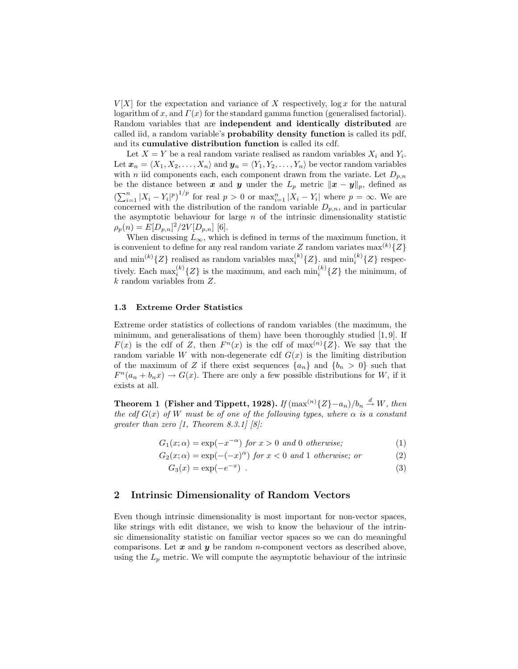$V[X]$  for the expectation and variance of X respectively,  $\log x$  for the natural logarithm of x, and  $\Gamma(x)$  for the standard gamma function (generalised factorial). Random variables that are independent and identically distributed are called iid, a random variable's probability density function is called its pdf, and its cumulative distribution function is called its cdf.

Let  $X = Y$  be a real random variate realised as random variables  $X_i$  and  $Y_i$ . Let  $\boldsymbol{x}_n = \langle X_1, X_2, \ldots, X_n \rangle$  and  $\boldsymbol{y}_n = \langle Y_1, Y_2, \ldots, Y_n \rangle$  be vector random variables with *n* iid components each, each component drawn from the variate. Let  $D_{p,n}$ be the distance between x and y under the  $L_p$  metric  $||x - y||_p$ , defined as  $\left(\sum_{i=1}^n |X_i - Y_i|^p\right)^{1/p}$  for real  $p > 0$  or  $\max_{i=1}^n |X_i - Y_i|$  where  $p = \infty$ . We are concerned with the distribution of the random variable  $D_{p,n}$ , and in particular the asymptotic behaviour for large  $n$  of the intrinsic dimensionality statistic  $\rho_p(n) = E[D_{p,n}]^2/2V[D_{p,n}]$  [6].

When discussing  $L_{\infty}$ , which is defined in terms of the maximum function, it is convenient to define for any real random variate Z random variates  $\max^{(k)}\{Z\}$ and  $\min^{(k)}\{Z\}$  realised as random variables  $\max_i^{(k)}\{Z\}$ , and  $\min_i^{(k)}\{Z\}$  respectively. Each  $\max_i^{(k)}\{Z\}$  is the maximum, and each  $\min_i^{(k)}\{Z\}$  the minimum, of k random variables from Z.

## 1.3 Extreme Order Statistics

Extreme order statistics of collections of random variables (the maximum, the minimum, and generalisations of them) have been thoroughly studied [1, 9]. If  $F(x)$  is the cdf of Z, then  $F^{n}(x)$  is the cdf of max<sup>(n)</sup>{Z}. We say that the random variable W with non-degenerate cdf  $G(x)$  is the limiting distribution of the maximum of Z if there exist sequences  $\{a_n\}$  and  $\{b_n > 0\}$  such that  $F^{n}(a_{n} + b_{n}x) \rightarrow G(x)$ . There are only a few possible distributions for W, if it exists at all.

Theorem 1 (Fisher and Tippett, 1928). If  $(\max^{(n)}{Z} - a_n)/b_n \stackrel{d}{\to} W$ , then the cdf  $G(x)$  of W must be of one of the following types, where  $\alpha$  is a constant greater than zero [1, Theorem 8.3.1] [8]:

$$
G_1(x; \alpha) = \exp(-x^{-\alpha}) \text{ for } x > 0 \text{ and } 0 \text{ otherwise;}
$$
 (1)

$$
G_2(x; \alpha) = \exp(-(-x)^{\alpha}) \text{ for } x < 0 \text{ and } 1 \text{ otherwise; or } (2)
$$

$$
G_3(x) = \exp(-e^{-x}) \tag{3}
$$

# 2 Intrinsic Dimensionality of Random Vectors

Even though intrinsic dimensionality is most important for non-vector spaces, like strings with edit distance, we wish to know the behaviour of the intrinsic dimensionality statistic on familiar vector spaces so we can do meaningful comparisons. Let  $x$  and  $y$  be random *n*-component vectors as described above, using the  $L_p$  metric. We will compute the asymptotic behaviour of the intrinsic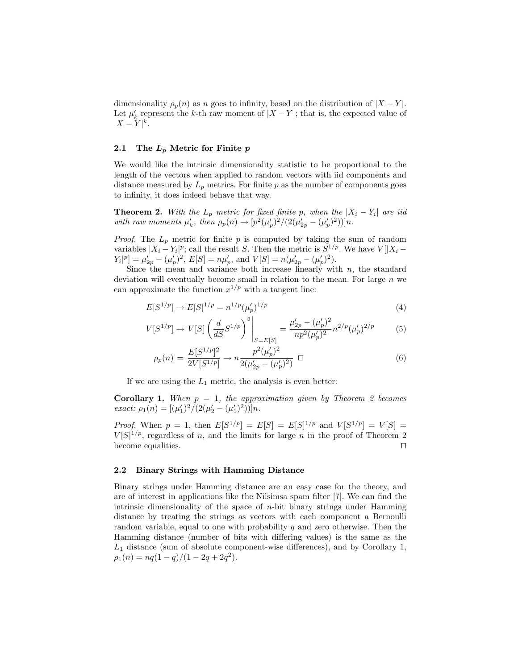dimensionality  $\rho_p(n)$  as n goes to infinity, based on the distribution of  $|X - Y|$ . Let  $\mu'_k$  represent the k-th raw moment of  $|X - Y|$ ; that is, the expected value of  $|X-Y|^k$ .

# 2.1 The  $L_p$  Metric for Finite  $p$

We would like the intrinsic dimensionality statistic to be proportional to the length of the vectors when applied to random vectors with iid components and distance measured by  $L_p$  metrics. For finite p as the number of components goes to infinity, it does indeed behave that way.

**Theorem 2.** With the  $L_p$  metric for fixed finite p, when the  $|X_i - Y_i|$  are iid with raw moments  $\mu'_k$ , then  $\rho_p(n) \to [p^2(\mu'_p)^2/(2(\mu'_{2p} - (\mu'_p)^2))]n$ .

*Proof.* The  $L_p$  metric for finite p is computed by taking the sum of random variables  $|X_i - Y_i|^p$ ; call the result S. Then the metric is  $S^{1/p}$ . We have  $V[|X_i - Y_i|^p]$  $Y_i|^p] = \mu'_{2p} - (\mu'_p)^2$ ,  $E[S] = n\mu'_p$ , and  $V[S] = n(\mu'_{2p} - (\mu'_p)^2)$ .

Since the mean and variance both increase linearly with  $n$ , the standard deviation will eventually become small in relation to the mean. For large  $n$  we can approximate the function  $x^{1/p}$  with a tangent line:

$$
E[S^{1/p}] \to E[S]^{1/p} = n^{1/p} (\mu'_p)^{1/p} \tag{4}
$$

$$
V[S^{1/p}] \to V[S] \left(\frac{d}{dS} S^{1/p}\right)^2 \bigg|_{S=E[S]} = \frac{\mu'_{2p} - (\mu'_p)^2}{np^2(\mu'_p)^2} n^{2/p}(\mu'_p)^{2/p} \tag{5}
$$

$$
\rho_p(n) = \frac{E[S^{1/p}]^2}{2V[S^{1/p}]} \to n \frac{p^2(\mu_p')^2}{2(\mu_{2p}' - (\mu_p')^2)} \quad \Box \tag{6}
$$

If we are using the  $L_1$  metric, the analysis is even better:

**Corollary 1.** When  $p = 1$ , the approximation given by Theorem 2 becomes exact:  $\rho_1(n) = [(\mu'_1)^2/(2(\mu'_2 - (\mu'_1)^2))]n$ .

*Proof.* When  $p = 1$ , then  $E[S^{1/p}] = E[S] = E[S]^{1/p}$  and  $V[S^{1/p}] = V[S] =$  $V[S]^{1/p}$ , regardless of n, and the limits for large n in the proof of Theorem 2 become equalities.  $\Box$ 

## 2.2 Binary Strings with Hamming Distance

Binary strings under Hamming distance are an easy case for the theory, and are of interest in applications like the Nilsimsa spam filter [7]. We can find the intrinsic dimensionality of the space of  $n$ -bit binary strings under Hamming distance by treating the strings as vectors with each component a Bernoulli random variable, equal to one with probability  $q$  and zero otherwise. Then the Hamming distance (number of bits with differing values) is the same as the  $L_1$  distance (sum of absolute component-wise differences), and by Corollary 1,  $\rho_1(n) = nq(1-q)/(1-2q+2q^2).$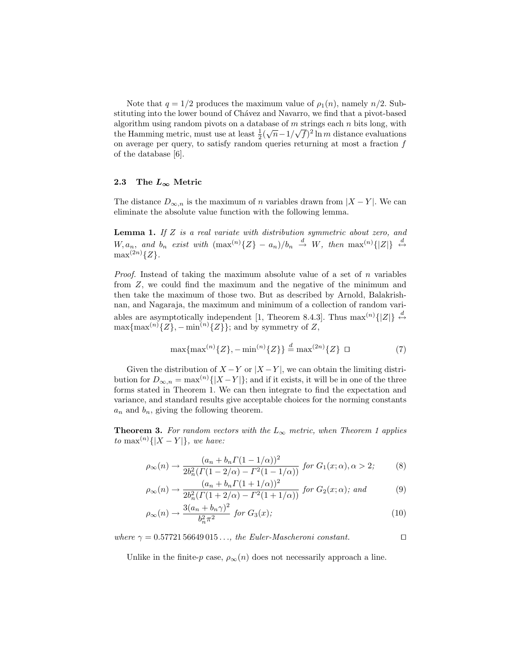Note that  $q = 1/2$  produces the maximum value of  $\rho_1(n)$ , namely  $n/2$ . Substituting into the lower bound of Chávez and Navarro, we find that a pivot-based algorithm using random pivots on a database of m strings each n bits long, with the Hamming metric, must use at least  $\frac{1}{2}(\sqrt{n}-1/\sqrt{f})^2 \ln m$  distance evaluations on average per query, to satisfy random queries returning at most a fraction  $f$ of the database [6].

# 2.3 The  $L_{\infty}$  Metric

The distance  $D_{\infty,n}$  is the maximum of n variables drawn from  $|X - Y|$ . We can eliminate the absolute value function with the following lemma.

**Lemma 1.** If  $Z$  is a real variate with distribution symmetric about zero, and  $W, a_n$ , and  $b_n$  exist with  $(\max^{(n)}{Z} - a_n)/b_n \stackrel{d}{\rightarrow} W$ , then  $\max^{(n)}{Z} \stackrel{d}{\leftrightarrow} O$  $\max^{(2n)}\{Z\}.$ 

*Proof.* Instead of taking the maximum absolute value of a set of  $n$  variables from Z, we could find the maximum and the negative of the minimum and then take the maximum of those two. But as described by Arnold, Balakrishnan, and Nagaraja, the maximum and minimum of a collection of random variables are asymptotically independent [1, Theorem 8.4.3]. Thus  $\max^{(n)}\{|Z|\} \stackrel{d}{\leftrightarrow}$  $\max\{\max^{(n)}\{Z\}, -\min^{(n)}\{Z\}\}\;$ ; and by symmetry of Z,

$$
\max\{\max^{(n)}\{Z\}, -\min^{(n)}\{Z\}\} \stackrel{d}{=} \max^{(2n)}\{Z\} \quad \Box \tag{7}
$$

Given the distribution of  $X - Y$  or  $|X - Y|$ , we can obtain the limiting distribution for  $D_{\infty,n} = \max^{(n)}\{|X-Y|\}$ ; and if it exists, it will be in one of the three forms stated in Theorem 1. We can then integrate to find the expectation and variance, and standard results give acceptable choices for the norming constants  $a_n$  and  $b_n$ , giving the following theorem.

**Theorem 3.** For random vectors with the  $L_{\infty}$  metric, when Theorem 1 applies to max<sup>(n)</sup>{|X – Y|}, we have:

$$
\rho_{\infty}(n) \to \frac{(a_n + b_n \Gamma(1 - 1/\alpha))^2}{2b_n^2(\Gamma(1 - 2/\alpha) - \Gamma^2(1 - 1/\alpha))} \text{ for } G_1(x; \alpha), \alpha > 2; \tag{8}
$$

$$
\rho_{\infty}(n) \to \frac{(a_n + b_n \Gamma(1 + 1/\alpha))^2}{2b_n^2(\Gamma(1 + 2/\alpha) - \Gamma^2(1 + 1/\alpha))} \text{ for } G_2(x; \alpha); \text{ and } (9)
$$

$$
\rho_{\infty}(n) \to \frac{3(a_n + b_n \gamma)^2}{b_n^2 \pi^2} \text{ for } G_3(x); \tag{10}
$$

where  $\gamma = 0.5772156649015...$  the Euler-Mascheroni constant.

Unlike in the finite-p case,  $\rho_{\infty}(n)$  does not necessarily approach a line.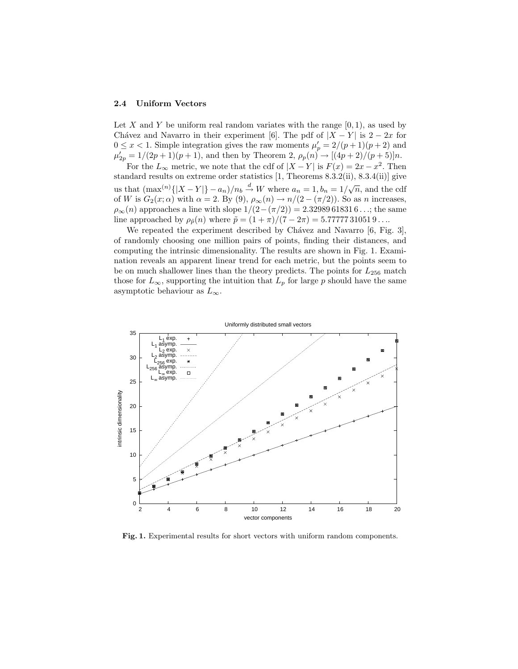## 2.4 Uniform Vectors

Let X and Y be uniform real random variates with the range  $[0, 1)$ , as used by Chávez and Navarro in their experiment [6]. The pdf of  $|X - Y|$  is  $2 - 2x$  for  $0 \leq x < 1$ . Simple integration gives the raw moments  $\mu'_p = 2/(p+1)(p+2)$  and  $\mu'_{2p} = 1/(2p+1)(p+1)$ , and then by Theorem 2,  $\rho_p(n) \to [(4p+2)/(p+5)]n$ .

For the  $L_{\infty}$  metric, we note that the cdf of  $|X - Y|$  is  $F(x) = 2x - x^2$ . Then standard results on extreme order statistics [1, Theorems 8.3.2(ii), 8.3.4(ii)] give us that  $(\max^{(n)}\{|X-Y|\} - a_n)/n_b \stackrel{d}{\to} W$  where  $a_n = 1, b_n = 1/\sqrt{n}$ , and the cdf of W is  $G_2(x; \alpha)$  with  $\alpha = 2$ . By (9),  $\rho_{\infty}(n) \to n/(2 - (\pi/2))$ . So as n increases,  $\rho_{\infty}(n)$  approaches a line with slope  $1/(2-(\pi/2)) = 2.32989618316...$ ; the same line approached by  $\rho_{\tilde{p}}(n)$  where  $\tilde{p} = (1 + \pi)/(7 - 2\pi) = 5.777777310519...$ 

We repeated the experiment described by Chávez and Navarro  $[6, Fig. 3]$ , of randomly choosing one million pairs of points, finding their distances, and computing the intrinsic dimensionality. The results are shown in Fig. 1. Examination reveals an apparent linear trend for each metric, but the points seem to be on much shallower lines than the theory predicts. The points for  $L_{256}$  match those for  $L_{\infty}$ , supporting the intuition that  $L_p$  for large p should have the same asymptotic behaviour as  $L_{\infty}$ .



Fig. 1. Experimental results for short vectors with uniform random components.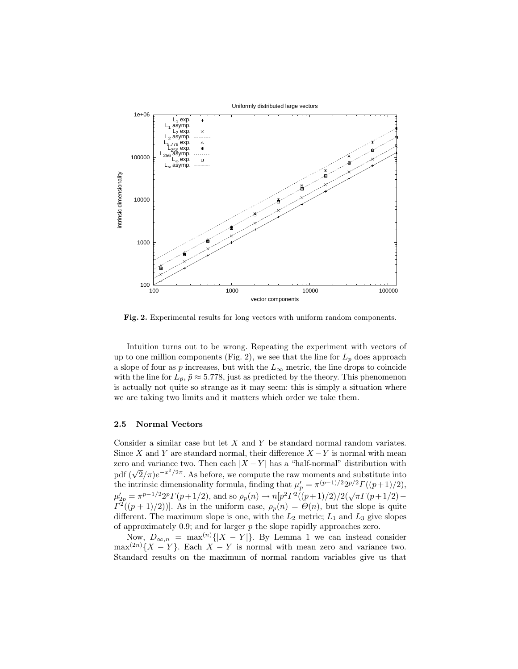

Fig. 2. Experimental results for long vectors with uniform random components.

Intuition turns out to be wrong. Repeating the experiment with vectors of up to one million components (Fig. 2), we see that the line for  $L_p$  does approach a slope of four as p increases, but with the  $L_{\infty}$  metric, the line drops to coincide with the line for  $L_{\tilde{p}}, \tilde{p} \approx 5.778$ , just as predicted by the theory. This phenomenon is actually not quite so strange as it may seem: this is simply a situation where we are taking two limits and it matters which order we take them.

## 2.5 Normal Vectors

Consider a similar case but let X and Y be standard normal random variates. Since X and Y are standard normal, their difference  $X - Y$  is normal with mean zero and variance two. Then each  $|X - Y|$  has a "half-normal" distribution with  $p$  and variance two. Then each  $|X - Y|$  has a man-normal distribution with pdf  $(\sqrt{2}/\pi)e^{-x^2/2\pi}$ . As before, we compute the raw moments and substitute into the intrinsic dimensionality formula, finding that  $\mu'_p = \pi^{(p-1)/2} 2^{p/2} \Gamma((p+1)/2)$ ,  $\mu'_{2p} = \pi^{p-1/2} 2^p \Gamma(p+1/2)$ , and so  $\rho_p(n) \to n[p^2 \Gamma^2((p+1)/2)/2(\sqrt{\pi} \Gamma(p+1/2) \Gamma^2((p+1)/2))$ . As in the uniform case,  $\rho_p(n) = \Theta(n)$ , but the slope is quite different. The maximum slope is one, with the  $L_2$  metric;  $L_1$  and  $L_3$  give slopes of approximately  $0.9$ ; and for larger  $p$  the slope rapidly approaches zero.

Now,  $D_{\infty,n} = \max^{(n)}\{|X-Y|\}$ . By Lemma 1 we can instead consider  $\max^{(2n)}{X - Y}$ . Each  $X - Y$  is normal with mean zero and variance two. Standard results on the maximum of normal random variables give us that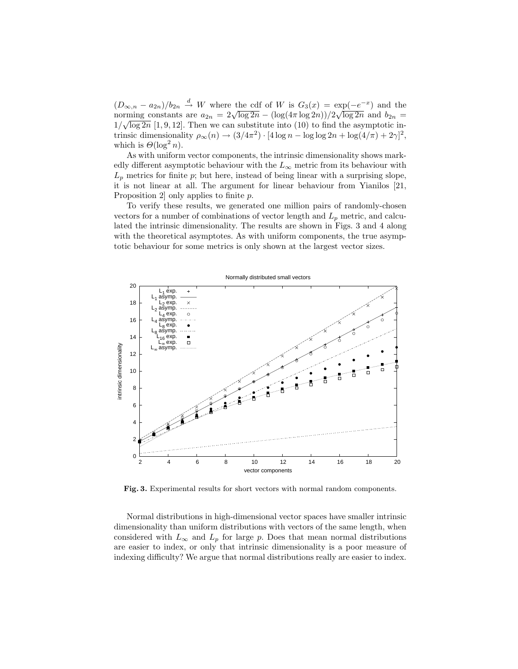$(D_{\infty,n} - a_{2n})/b_{2n} \stackrel{d}{\rightarrow} W$  where the cdf of W is  $G_3(x) = \exp(-e^{-x})$  and the  $(D_{\infty,n} - a_{2n})/b_{2n} \to W$  where the cut of W is  $G_3(x) = \exp(-e^{-x})$  and the<br>norming constants are  $a_{2n} = 2\sqrt{\log 2n} - (\log(4\pi \log 2n))/2\sqrt{\log 2n}$  and  $b_{2n} =$  $1/\sqrt{\log 2n}$  [1, 9, 12]. Then we can substitute into (10) to find the asymptotic intrinsic dimensionality  $\rho_{\infty}(n) \to (3/4\pi^2) \cdot [4\log n - \log \log 2n + \log(4/\pi) + 2\gamma]^2$ , which is  $\Theta(\log^2 n)$ .

As with uniform vector components, the intrinsic dimensionality shows markedly different asymptotic behaviour with the  $L_{\infty}$  metric from its behaviour with  $L_p$  metrics for finite  $p$ ; but here, instead of being linear with a surprising slope, it is not linear at all. The argument for linear behaviour from Yianilos [21, Proposition 2] only applies to finite p.

To verify these results, we generated one million pairs of randomly-chosen vectors for a number of combinations of vector length and  $L_p$  metric, and calculated the intrinsic dimensionality. The results are shown in Figs. 3 and 4 along with the theoretical asymptotes. As with uniform components, the true asymptotic behaviour for some metrics is only shown at the largest vector sizes.



Fig. 3. Experimental results for short vectors with normal random components.

Normal distributions in high-dimensional vector spaces have smaller intrinsic dimensionality than uniform distributions with vectors of the same length, when considered with  $L_{\infty}$  and  $L_p$  for large p. Does that mean normal distributions are easier to index, or only that intrinsic dimensionality is a poor measure of indexing difficulty? We argue that normal distributions really are easier to index.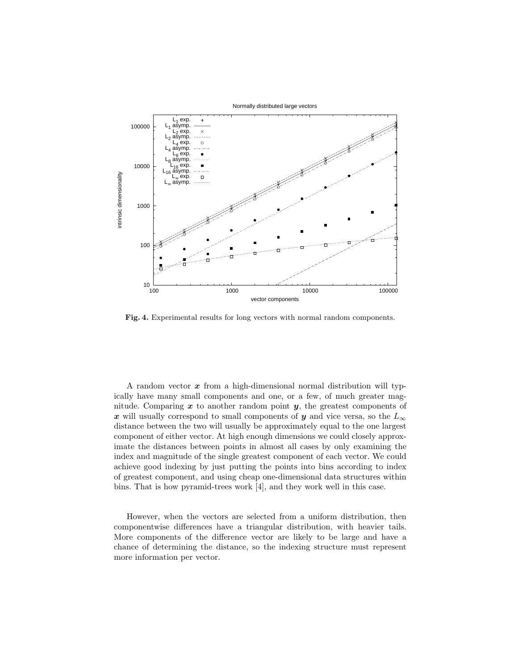

Fig. 4. Experimental results for long vectors with normal random components.

A random vector  $x$  from a high-dimensional normal distribution will typically have many small components and one, or a few, of much greater magnitude. Comparing  $x$  to another random point  $y$ , the greatest components of x will usually correspond to small components of y and vice versa, so the  $L_{\infty}$ distance between the two will usually be approximately equal to the one largest component of either vector. At high enough dimensions we could closely approximate the distances between points in almost all cases by only examining the index and magnitude of the single greatest component of each vector. We could achieve good indexing by just putting the points into bins according to index of greatest component, and using cheap one-dimensional data structures within bins. That is how pyramid-trees work [4], and they work well in this case.

However, when the vectors are selected from a uniform distribution, then componentwise differences have a triangular distribution, with heavier tails. More components of the difference vector are likely to be large and have a chance of determining the distance, so the indexing structure must represent more information per vector.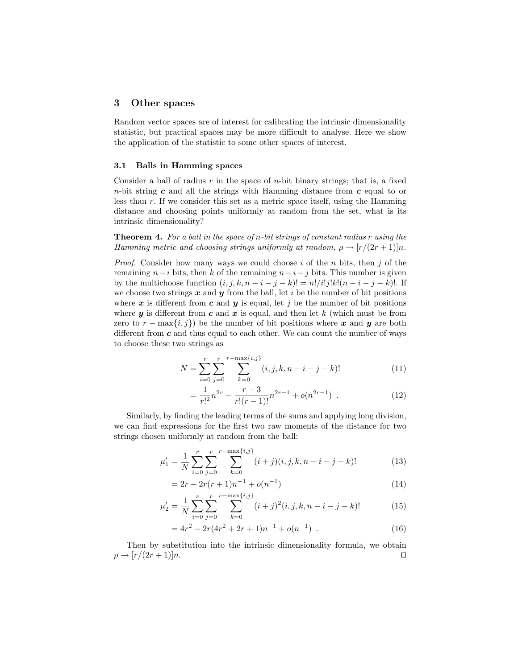# 3 Other spaces

Random vector spaces are of interest for calibrating the intrinsic dimensionality statistic, but practical spaces may be more difficult to analyse. Here we show the application of the statistic to some other spaces of interest.

# 3.1 Balls in Hamming spaces

Consider a ball of radius  $r$  in the space of  $n$ -bit binary strings; that is, a fixed  $n$ -bit string  $c$  and all the strings with Hamming distance from  $c$  equal to or less than r. If we consider this set as a metric space itself, using the Hamming distance and choosing points uniformly at random from the set, what is its intrinsic dimensionality?

**Theorem 4.** For a ball in the space of n-bit strings of constant radius  $r$  using the Hamming metric and choosing strings uniformly at random,  $\rho \rightarrow [r/(2r+1)]n$ .

*Proof.* Consider how many ways we could choose i of the n bits, then j of the remaining  $n-i$  bits, then k of the remaining  $n-i-j$  bits. This number is given by the multichoose function  $(i, j, k, n - i - j - k)! = n!/i!j!k!(n - i - j - k)!$ . If we choose two strings  $x$  and  $y$  from the ball, let i be the number of bit positions where x is different from c and y is equal, let j be the number of bit positions where  $y$  is different from  $c$  and  $x$  is equal, and then let  $k$  (which must be from zero to  $r - \max\{i, j\}$  be the number of bit positions where x and y are both different from  $c$  and thus equal to each other. We can count the number of ways to choose these two strings as

$$
N = \sum_{i=0}^{r} \sum_{j=0}^{r} \sum_{k=0}^{r - \max\{i,j\}} (i, j, k, n-i-j-k)!
$$
 (11)

$$
= \frac{1}{r!^2} n^{2r} - \frac{r-3}{r!(r-1)!} n^{2r-1} + o(n^{2r-1}) \tag{12}
$$

Similarly, by finding the leading terms of the sums and applying long division, we can find expressions for the first two raw moments of the distance for two strings chosen uniformly at random from the ball:

$$
\mu'_1 = \frac{1}{N} \sum_{i=0}^r \sum_{j=0}^r \sum_{k=0}^{r-\max\{i,j\}} (i+j)(i,j,k,n-i-j-k)!
$$
 (13)

$$
= 2r - 2r(r+1)n^{-1} + o(n^{-1})
$$
\n(14)

$$
\mu_2' = \frac{1}{N} \sum_{i=0}^r \sum_{j=0}^r \sum_{k=0}^{r - \max\{i,j\}} (i+j)^2 (i,j,k,n-i-j-k)!
$$
 (15)

$$
=4r^2 - 2r(4r^2 + 2r + 1)n^{-1} + o(n^{-1}).
$$
\n(16)

Then by substitution into the intrinsic dimensionality formula, we obtain  $\rho \rightarrow [r/(2r+1)]n.$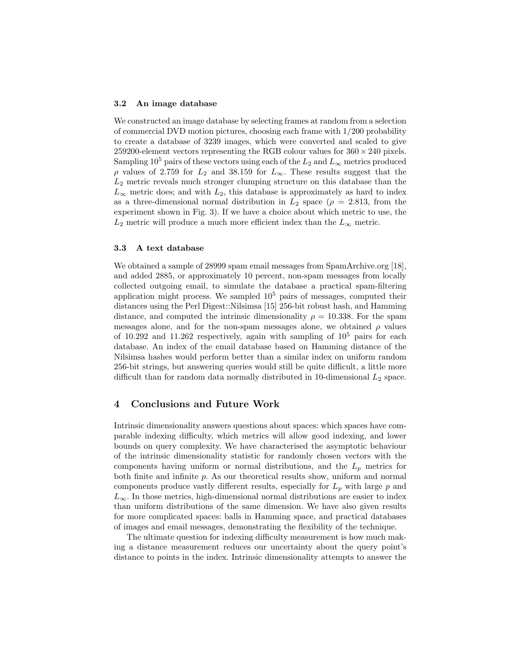#### 3.2 An image database

We constructed an image database by selecting frames at random from a selection of commercial DVD motion pictures, choosing each frame with 1/200 probability to create a database of 3239 images, which were converted and scaled to give 259200-element vectors representing the RGB colour values for  $360 \times 240$  pixels. Sampling 10<sup>5</sup> pairs of these vectors using each of the  $L_2$  and  $L_{\infty}$  metrics produced ρ values of 2.759 for L<sup>2</sup> and 38.159 for L∞. These results suggest that the  $L_2$  metric reveals much stronger clumping structure on this database than the  $L_{\infty}$  metric does; and with  $L_2$ , this database is approximately as hard to index as a three-dimensional normal distribution in  $L_2$  space ( $\rho = 2.813$ , from the experiment shown in Fig. 3). If we have a choice about which metric to use, the  $L_2$  metric will produce a much more efficient index than the  $L_{\infty}$  metric.

## 3.3 A text database

We obtained a sample of 28999 spam email messages from SpamArchive.org [18], and added 2885, or approximately 10 percent, non-spam messages from locally collected outgoing email, to simulate the database a practical spam-filtering application might process. We sampled  $10<sup>5</sup>$  pairs of messages, computed their distances using the Perl Digest::Nilsimsa [15] 256-bit robust hash, and Hamming distance, and computed the intrinsic dimensionality  $\rho = 10.338$ . For the spam messages alone, and for the non-spam messages alone, we obtained  $\rho$  values of 10.292 and 11.262 respectively, again with sampling of  $10^5$  pairs for each database. An index of the email database based on Hamming distance of the Nilsimsa hashes would perform better than a similar index on uniform random 256-bit strings, but answering queries would still be quite difficult, a little more difficult than for random data normally distributed in 10-dimensional  $L_2$  space.

# 4 Conclusions and Future Work

Intrinsic dimensionality answers questions about spaces: which spaces have comparable indexing difficulty, which metrics will allow good indexing, and lower bounds on query complexity. We have characterised the asymptotic behaviour of the intrinsic dimensionality statistic for randomly chosen vectors with the components having uniform or normal distributions, and the  $L_p$  metrics for both finite and infinite p. As our theoretical results show, uniform and normal components produce vastly different results, especially for  $L_p$  with large  $p$  and  $L_{\infty}$ . In those metrics, high-dimensional normal distributions are easier to index than uniform distributions of the same dimension. We have also given results for more complicated spaces: balls in Hamming space, and practical databases of images and email messages, demonstrating the flexibility of the technique.

The ultimate question for indexing difficulty measurement is how much making a distance measurement reduces our uncertainty about the query point's distance to points in the index. Intrinsic dimensionality attempts to answer the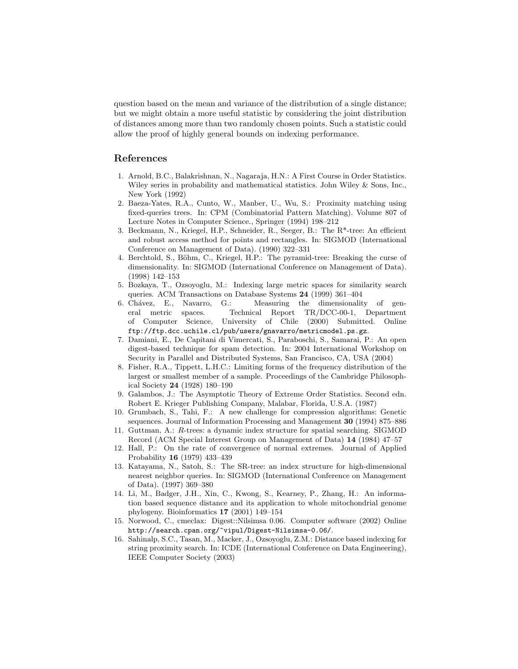question based on the mean and variance of the distribution of a single distance; but we might obtain a more useful statistic by considering the joint distribution of distances among more than two randomly chosen points. Such a statistic could allow the proof of highly general bounds on indexing performance.

# References

- 1. Arnold, B.C., Balakrishnan, N., Nagaraja, H.N.: A First Course in Order Statistics. Wiley series in probability and mathematical statistics. John Wiley & Sons, Inc., New York (1992)
- 2. Baeza-Yates, R.A., Cunto, W., Manber, U., Wu, S.: Proximity matching using fixed-queries trees. In: CPM (Combinatorial Pattern Matching). Volume 807 of Lecture Notes in Computer Science., Springer (1994) 198–212
- 3. Beckmann, N., Kriegel, H.P., Schneider, R., Seeger, B.: The R\*-tree: An efficient and robust access method for points and rectangles. In: SIGMOD (International Conference on Management of Data). (1990) 322–331
- 4. Berchtold, S., Böhm, C., Kriegel, H.P.: The pyramid-tree: Breaking the curse of dimensionality. In: SIGMOD (International Conference on Management of Data). (1998) 142–153
- 5. Bozkaya, T., Ozsoyoglu, M.: Indexing large metric spaces for similarity search queries. ACM Transactions on Database Systems 24 (1999) 361–404
- 6. Chávez, E., Navarro, G.: Measuring the dimensionality of general metric spaces. Technical Report TR/DCC-00-1, Department of Computer Science, University of Chile (2000) Submitted. Online ftp://ftp.dcc.uchile.cl/pub/users/gnavarro/metricmodel.ps.gz.
- 7. Damiani, E., De Capitani di Vimercati, S., Paraboschi, S., Samarai, P.: An open digest-based technique for spam detection. In: 2004 International Workshop on Security in Parallel and Distributed Systems, San Francisco, CA, USA (2004)
- 8. Fisher, R.A., Tippett, L.H.C.: Limiting forms of the frequency distribution of the largest or smallest member of a sample. Proceedings of the Cambridge Philosophical Society 24 (1928) 180–190
- 9. Galambos, J.: The Asymptotic Theory of Extreme Order Statistics. Second edn. Robert E. Krieger Publishing Company, Malabar, Florida, U.S.A. (1987)
- 10. Grumbach, S., Tahi, F.: A new challenge for compression algorithms: Genetic sequences. Journal of Information Processing and Management 30 (1994) 875–886
- 11. Guttman, A.: R-trees: a dynamic index structure for spatial searching. SIGMOD Record (ACM Special Interest Group on Management of Data) 14 (1984) 47–57
- 12. Hall, P.: On the rate of convergence of normal extremes. Journal of Applied Probability 16 (1979) 433–439
- 13. Katayama, N., Satoh, S.: The SR-tree: an index structure for high-dimensional nearest neighbor queries. In: SIGMOD (International Conference on Management of Data). (1997) 369–380
- 14. Li, M., Badger, J.H., Xin, C., Kwong, S., Kearney, P., Zhang, H.: An information based sequence distance and its application to whole mitochondrial genome phylogeny. Bioinformatics 17 (2001) 149–154
- 15. Norwood, C., cmeclax: Digest::Nilsimsa 0.06. Computer software (2002) Online http://search.cpan.org/~vipul/Digest-Nilsimsa-0.06/.
- 16. Sahinalp, S.C., Tasan, M., Macker, J., Ozsoyoglu, Z.M.: Distance based indexing for string proximity search. In: ICDE (International Conference on Data Engineering), IEEE Computer Society (2003)